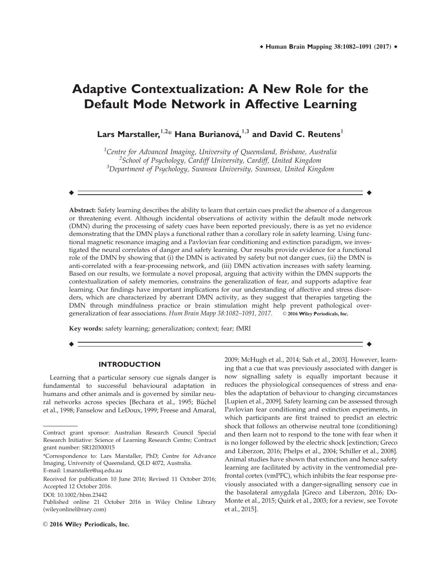# **Adaptive Contextualization: A New Role for the Default Mode Network in Affective Learning**

Lars Marstaller, <sup>1,2</sup>\* Hana Burianová, <sup>1,3</sup> and David C. Reutens <del>1</del>

<sup>1</sup>Centre for Advanced Imaging, University of Queensland, Brisbane, Australia <sup>2</sup>School of Psychology, Cardiff University, Cardiff, United Kingdom <sup>3</sup>Department of Psychology, Swansea University, Swansea, United Kingdom

r r

Abstract: Safety learning describes the ability to learn that certain cues predict the absence of a dangerous or threatening event. Although incidental observations of activity within the default mode network (DMN) during the processing of safety cues have been reported previously, there is as yet no evidence demonstrating that the DMN plays a functional rather than a corollary role in safety learning. Using functional magnetic resonance imaging and a Pavlovian fear conditioning and extinction paradigm, we investigated the neural correlates of danger and safety learning. Our results provide evidence for a functional role of the DMN by showing that (i) the DMN is activated by safety but not danger cues, (ii) the DMN is anti-correlated with a fear-processing network, and (iii) DMN activation increases with safety learning. Based on our results, we formulate a novel proposal, arguing that activity within the DMN supports the contextualization of safety memories, constrains the generalization of fear, and supports adaptive fear learning. Our findings have important implications for our understanding of affective and stress disorders, which are characterized by aberrant DMN activity, as they suggest that therapies targeting the DMN through mindfulness practice or brain stimulation might help prevent pathological overgeneralization of fear associations. Hum Brain Mapp 38:1082-1091, 2017. © 2016 Wiley Periodicals, Inc.

r r

Key words: safety learning; generalization; context; fear; fMRI

## **INTRODUCTION**

Learning that a particular sensory cue signals danger is fundamental to successful behavioural adaptation in humans and other animals and is governed by similar neural networks across species [Bechara et al., 1995; Büchel et al., 1998; Fanselow and LeDoux, 1999; Freese and Amaral, now signalling safety is equally important because it reduces the physiological consequences of stress and enables the adaptation of behaviour to changing circumstances [Lupien et al., 2009]. Safety learning can be assessed through Pavlovian fear conditioning and extinction experiments, in which participants are first trained to predict an electric shock that follows an otherwise neutral tone (conditioning) and then learn not to respond to the tone with fear when it is no longer followed by the electric shock [extinction; Greco and Liberzon, 2016; Phelps et al., 2004; Schiller et al., 2008]. Animal studies have shown that extinction and hence safety learning are facilitated by activity in the ventromedial prefrontal cortex (vmPFC), which inhibits the fear response previously associated with a danger-signalling sensory cue in the basolateral amygdala [Greco and Liberzon, 2016; Do-Monte et al., 2015; Quirk et al., 2003; for a review, see Tovote et al., 2015].

2009; McHugh et al., 2014; Sah et al., 2003]. However, learning that a cue that was previously associated with danger is

 $\odot$  2016 Wiley Periodicals, Inc.

Contract grant sponsor: Australian Research Council Special Research Initiative: Science of Learning Research Centre; Contract grant number: SR120300015

<sup>\*</sup>Correspondence to: Lars Marstaller, PhD; Centre for Advance Imaging, University of Queensland, QLD 4072, Australia.

E-mail: l.marstaller@uq.edu.au

Received for publication 10 June 2016; Revised 11 October 2016; Accepted 12 October 2016.

DOI: 10.1002/hbm.23442

Published online 21 October 2016 in Wiley Online Library (wileyonlinelibrary.com)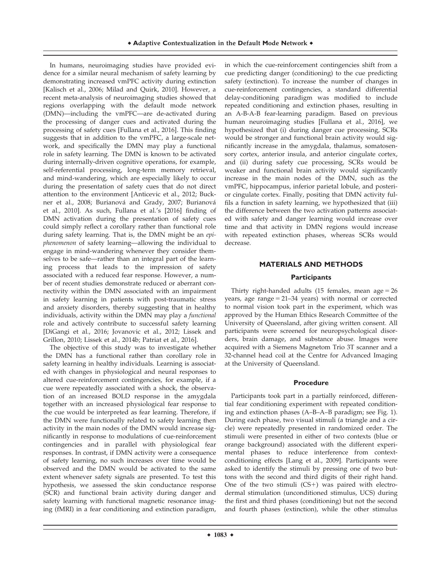In humans, neuroimaging studies have provided evidence for a similar neural mechanism of safety learning by demonstrating increased vmPFC activity during extinction [Kalisch et al., 2006; Milad and Quirk, 2010]. However, a recent meta-analysis of neuroimaging studies showed that regions overlapping with the default mode network (DMN)—including the vmPFC—are de-activated during the processing of danger cues and activated during the processing of safety cues [Fullana et al., 2016]. This finding suggests that in addition to the vmPFC, a large-scale network, and specifically the DMN may play a functional role in safety learning. The DMN is known to be activated during internally-driven cognitive operations, for example, self-referential processing, long-term memory retrieval, and mind-wandering, which are especially likely to occur during the presentation of safety cues that do not direct attention to the environment [Anticevic et al., 2012; Buckner et al., 2008; Burianová and Grady, 2007; Burianová et al., 2010]. As such, Fullana et al.'s [2016] finding of DMN activation during the presentation of safety cues could simply reflect a corollary rather than functional role during safety learning. That is, the DMN might be an epiphenomenon of safety learning—allowing the individual to engage in mind-wandering whenever they consider themselves to be safe—rather than an integral part of the learning process that leads to the impression of safety associated with a reduced fear response. However, a number of recent studies demonstrate reduced or aberrant connectivity within the DMN associated with an impairment in safety learning in patients with post-traumatic stress and anxiety disorders, thereby suggesting that in healthy individuals, activity within the DMN may play a functional role and actively contribute to successful safety learning [DiGangi et al., 2016; Jovanovic et al., 2012; Lissek and Grillon, 2010; Lissek et al., 2014b; Patriat et al., 2016].

The objective of this study was to investigate whether the DMN has a functional rather than corollary role in safety learning in healthy individuals. Learning is associated with changes in physiological and neural responses to altered cue-reinforcement contingencies, for example, if a cue were repeatedly associated with a shock, the observation of an increased BOLD response in the amygdala together with an increased physiological fear response to the cue would be interpreted as fear learning. Therefore, if the DMN were functionally related to safety learning then activity in the main nodes of the DMN would increase significantly in response to modulations of cue-reinforcement contingencies and in parallel with physiological fear responses. In contrast, if DMN activity were a consequence of safety learning, no such increases over time would be observed and the DMN would be activated to the same extent whenever safety signals are presented. To test this hypothesis, we assessed the skin conductance response (SCR) and functional brain activity during danger and safety learning with functional magnetic resonance imaging (fMRI) in a fear conditioning and extinction paradigm,

in which the cue-reinforcement contingencies shift from a cue predicting danger (conditioning) to the cue predicting safety (extinction). To increase the number of changes in cue-reinforcement contingencies, a standard differential delay-conditioning paradigm was modified to include repeated conditioning and extinction phases, resulting in an A-B-A-B fear-learning paradigm. Based on previous human neuroimaging studies [Fullana et al., 2016], we hypothesized that (i) during danger cue processing, SCRs would be stronger and functional brain activity would significantly increase in the amygdala, thalamus, somatosensory cortex, anterior insula, and anterior cingulate cortex, and (ii) during safety cue processing, SCRs would be weaker and functional brain activity would significantly increase in the main nodes of the DMN, such as the vmPFC, hippocampus, inferior parietal lobule, and posterior cingulate cortex. Finally, positing that DMN activity fulfils a function in safety learning, we hypothesized that (iii) the difference between the two activation patterns associated with safety and danger learning would increase over time and that activity in DMN regions would increase with repeated extinction phases, whereas SCRs would decrease.

# **MATERIALS AND METHODS Participants**

Thirty right-handed adults (15 females, mean  $age = 26$ years, age range  $= 21-34$  years) with normal or corrected to normal vision took part in the experiment, which was approved by the Human Ethics Research Committee of the University of Queensland, after giving written consent. All participants were screened for neuropsychological disorders, brain damage, and substance abuse. Images were acquired with a Siemens Magnetom Trio 3T scanner and a 32-channel head coil at the Centre for Advanced Imaging at the University of Queensland.

### **Procedure**

Participants took part in a partially reinforced, differential fear conditioning experiment with repeated conditioning and extinction phases (A–B–A–B paradigm; see Fig. 1). During each phase, two visual stimuli (a triangle and a circle) were repeatedly presented in randomized order. The stimuli were presented in either of two contexts (blue or orange background) associated with the different experimental phases to reduce interference from contextconditioning effects [Lang et al., 2009]. Participants were asked to identify the stimuli by pressing one of two buttons with the second and third digits of their right hand. One of the two stimuli  $(CS+)$  was paired with electrodermal stimulation (unconditioned stimulus, UCS) during the first and third phases (conditioning) but not the second and fourth phases (extinction), while the other stimulus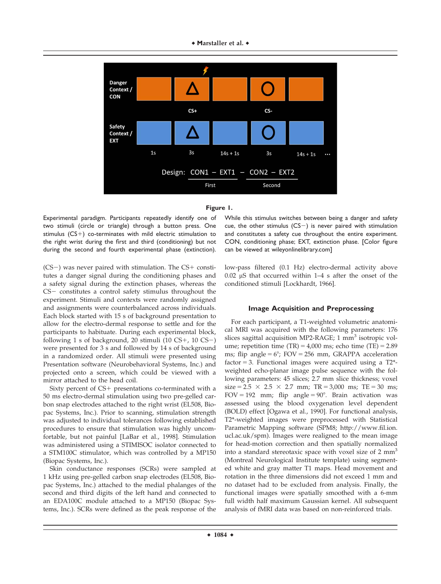



Experimental paradigm. Participants repeatedly identify one of two stimuli (circle or triangle) through a button press. One stimulus  $(CS+)$  co-terminates with mild electric stimulation to the right wrist during the first and third (conditioning) but not during the second and fourth experimental phase (extinction).

 $(CS-)$  was never paired with stimulation. The  $CS+$  constitutes a danger signal during the conditioning phases and a safety signal during the extinction phases, whereas the  $CS-$  constitutes a control safety stimulus throughout the experiment. Stimuli and contexts were randomly assigned and assignments were counterbalanced across individuals. Each block started with 15 s of background presentation to allow for the electro-dermal response to settle and for the participants to habituate. During each experimental block, following 1 s of background, 20 stimuli (10  $CS+$ , 10  $CS-$ ) were presented for 3 s and followed by 14 s of background in a randomized order. All stimuli were presented using Presentation software (Neurobehavioral Systems, Inc.) and projected onto a screen, which could be viewed with a mirror attached to the head coil.

Sixty percent of  $CS+$  presentations co-terminated with a 50 ms electro-dermal stimulation using two pre-gelled carbon snap electrodes attached to the right wrist (EL508, Biopac Systems, Inc.). Prior to scanning, stimulation strength was adjusted to individual tolerances following established procedures to ensure that stimulation was highly uncomfortable, but not painful [LaBar et al., 1998]. Stimulation was administered using a STIMISOC isolator connected to a STM100C stimulator, which was controlled by a MP150 (Biopac Systems, Inc.).

Skin conductance responses (SCRs) were sampled at 1 kHz using pre-gelled carbon snap electrodes (EL508, Biopac Systems, Inc.) attached to the medial phalanges of the second and third digits of the left hand and connected to an EDA100C module attached to a MP150 (Biopac Systems, Inc.). SCRs were defined as the peak response of the While this stimulus switches between being a danger and safety cue, the other stimulus ( $CS-$ ) is never paired with stimulation and constitutes a safety cue throughout the entire experiment. CON, conditioning phase; EXT, extinction phase. [Color figure can be viewed at [wileyonlinelibrary.com](http://wileyonlinelibrary.com)]

low-pass filtered (0.1 Hz) electro-dermal activity above 0.02  $\mu$ S that occurred within 1–4 s after the onset of the conditioned stimuli [Lockhardt, 1966].

# **Image Acquisition and Preprocessing**

For each participant, a T1-weighted volumetric anatomical MRI was acquired with the following parameters: 176 slices sagittal acquisition MP2-RAGE;  $1 \text{ mm}^3$  isotropic volume; repetition time  $(TR) = 4,000$  ms; echo time  $(TE) = 2.89$ ms; flip angle =  $6^\circ$ ; FOV = 256 mm, GRAPPA acceleration factor = 3. Functional images were acquired using a  $T2^*$ weighted echo-planar image pulse sequence with the following parameters: 45 slices; 2.7 mm slice thickness; voxel  $size = 2.5 \times 2.5 \times 2.7$  mm; TR = 3,000 ms; TE = 30 ms;  $FOV = 192$  mm; flip angle =  $90^\circ$ . Brain activation was assessed using the blood oxygenation level dependent (BOLD) effect [Ogawa et al., 1990]. For functional analysis, T2\*-weighted images were preprocessed with Statistical Parametric Mapping software (SPM8; [http://www.fil.ion.](http://www.fil.ion.ucl.ac.uk/spm) [ucl.ac.uk/spm](http://www.fil.ion.ucl.ac.uk/spm)). Images were realigned to the mean image for head-motion correction and then spatially normalized into a standard stereotaxic space with voxel size of 2 mm<sup>3</sup> (Montreal Neurological Institute template) using segmented white and gray matter T1 maps. Head movement and rotation in the three dimensions did not exceed 1 mm and no dataset had to be excluded from analysis. Finally, the functional images were spatially smoothed with a 6-mm full width half maximum Gaussian kernel. All subsequent analysis of fMRI data was based on non-reinforced trials.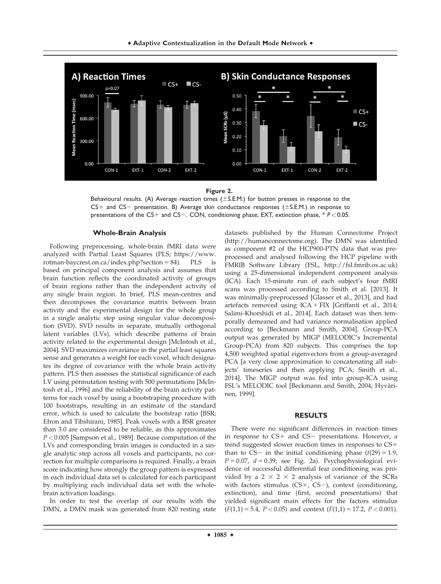

**Figure 2.**

Behavioural results. (A) Average reaction times ( $\pm$  S.E.M.) for button presses in response to the  $CS+$  and  $CS-$  presentation. B) Average skin conductance responses ( $\pm$ S.E.M.) in response to presentations of the CS+ and CS-. CON, conditioning phase; EXT, extinction phase, \* *P* < 0.05.

#### **Whole-Brain Analysis**

Following preprocessing, whole-brain fMRI data were analyzed with Partial Least Squares (PLS; [https://www.](http://https://www.rotman-baycrest.on.ca/index.php?section=84) [rotman-baycrest.on.ca/index.php?section](http://https://www.rotman-baycrest.on.ca/index.php?section=84) = [84\)](http://https://www.rotman-baycrest.on.ca/index.php?section=84). PLS is based on principal component analysis and assumes that brain function reflects the coordinated activity of groups of brain regions rather than the independent activity of any single brain region. In brief, PLS mean-centres and then decomposes the covariance matrix between brain activity and the experimental design for the whole group in a single analytic step using singular value decomposition (SVD). SVD results in separate, mutually orthogonal latent variables (LVs), which describe patterns of brain activity related to the experimental design [McIntosh et al., 2004]. SVD maximizes covariance in the partial least squares sense and generates a weight for each voxel, which designates its degree of covariance with the whole brain activity pattern. PLS then assesses the statistical significance of each LV using permutation testing with 500 permutations [McIntosh et al., 1996] and the reliability of the brain activity patterns for each voxel by using a bootstraping procedure with 100 bootstraps, resulting in an estimate of the standard error, which is used to calculate the bootstrap ratio [BSR; Efron and Tibshirani, 1985]. Peak voxels with a BSR greater than 3.0 are considered to be reliable, as this approximates P < 0.005 [Sampson et al., 1989]. Because computation of the LVs and corresponding brain images is conducted in a single analytic step across all voxels and participants, no correction for multiple comparisons is required. Finally, a brain score indicating how strongly the group pattern is expressed in each individual data set is calculated for each participant by multiplying each individual data set with the wholebrain activation loadings.

In order to test the overlap of our results with the DMN, a DMN mask was generated from 820 resting state

datasets published by the Human Connectome Project (<http://humanconnectome.org>). The DMN was identified as component #2 of the HCP900-PTN data that was preprocessed and analysed following the HCP pipeline with FMRIB Software Library (FSL,<http://fsl.fmrib.ox.ac.uk>) using a 25-dimensional independent component analysis (ICA). Each 15-minute run of each subject's four fMRI scans was processed according to Smith et al. [2013]. It was minimally-preprocessed [Glasser et al., 2013], and had artefacts removed using  $ICA + FIX$  [Griffanti et al., 2014; Salimi-Khorshidi et al., 2014]. Each dataset was then temporally demeaned and had variance normalisation applied according to [Beckmann and Smith, 2004]. Group-PCA output was generated by MIGP (MELODIC's Incremental Group-PCA) from 820 subjects. This comprises the top 4,500 weighted spatial eigenvectors from a group-averaged PCA [a very close approximation to concatenating all subjects' timeseries and then applying PCA; Smith et al., 2014]. The MIGP output was fed into group-ICA using FSL's MELODIC tool [Beckmann and Smith, 2004; Hyvärinen, 1999].

#### **RESULTS**

There were no significant differences in reaction times in response to  $CS+$  and  $CS-$  presentations. However, a trend suggested slower reaction times in responses to  $CS$ + than to CS- in the initial conditioning phase  $(t(29) = 1.9)$ ,  $P = 0.07$ ,  $d = 0.39$ ; see Fig. 2a). Psychophysiological evidence of successful differential fear conditioning was provided by a  $2 \times 2 \times 2$  analysis of variance of the SCRs with factors stimulus (CS+, CS-), context (conditioning, extinction), and time (first, second presentations) that yielded significant main effects for the factors stimulus  $(F(1,1) = 5.4, P < 0.05)$  and context  $(F(1,1) = 17.2, P < 0.001)$ .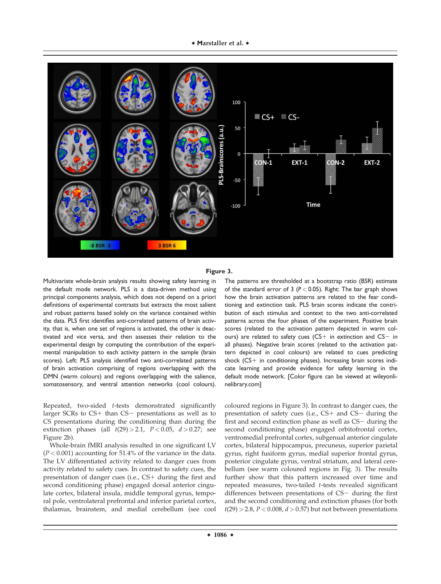

#### **Figure 3.**

Multivariate whole-brain analysis results showing safety learning in the default mode network. PLS is a data-driven method using principal components analysis, which does not depend on a priori definitions of experimental contrasts but extracts the most salient and robust patterns based solely on the variance contained within the data. PLS first identifies anti-correlated patterns of brain activity, that is, when one set of regions is activated, the other is deactivated and vice versa, and then assesses their relation to the experimental design by computing the contribution of the experimental manipulation to each activity pattern in the sample (brain scores). Left: PLS analysis identified two anti-correlated patterns of brain activation comprising of regions overlapping with the DMN (warm colours) and regions overlapping with the salience, somatosensory, and ventral attention networks (cool colours).

Repeated, two-sided t-tests demonstrated significantly larger SCRs to  $CS+$  than  $CS-$  presentations as well as to CS presentations during the conditioning than during the extinction phases (all  $t(29) > 2.1$ ,  $P < 0.05$ ,  $d > 0.27$ ; see Figure 2b).

Whole-brain fMRI analysis resulted in one significant LV  $(P < 0.001)$  accounting for 51.4% of the variance in the data. The LV differentiated activity related to danger cues from activity related to safety cues. In contrast to safety cues, the presentation of danger cues (i.e.,  $CS+$  during the first and second conditioning phase) engaged dorsal anterior cingulate cortex, bilateral insula, middle temporal gyrus, temporal pole, ventrolateral prefrontal and inferior parietal cortex, thalamus, brainstem, and medial cerebellum (see cool

The patterns are thresholded at a bootstrap ratio (BSR) estimate of the standard error of 3 ( $P < 0.05$ ). Right: The bar graph shows how the brain activation patterns are related to the fear conditioning and extinction task. PLS brain scores indicate the contribution of each stimulus and context to the two anti-correlated patterns across the four phases of the experiment. Positive brain scores (related to the activation pattern depicted in warm colours) are related to safety cues (CS+ in extinction and  $CS-$  in all phases). Negative brain scores (related to the activation pattern depicted in cool colours) are related to cues predicting shock  $(CS+$  in conditioning phases). Increasing brain scores indicate learning and provide evidence for safety learning in the default mode network. [Color figure can be viewed at [wileyonli](http://wileyonlinelibrary.com)[nelibrary.com](http://wileyonlinelibrary.com)]

coloured regions in Figure 3). In contrast to danger cues, the presentation of safety cues (i.e.,  $CS+$  and  $CS-$  during the first and second extinction phase as well as  $CS-$  during the second conditioning phase) engaged orbitofrontal cortex, ventromedial prefrontal cortex, subgenual anterior cingulate cortex, bilateral hippocampus, precuneus, superior parietal gyrus, right fusiform gyrus, medial superior frontal gyrus, posterior cingulate gyrus, ventral striatum, and lateral cerebellum (see warm coloured regions in Fig. 3). The results further show that this pattern increased over time and repeated measures, two-tailed t-tests revealed significant differences between presentations of  $CS-$  during the first and the second conditioning and extinction phases (for both  $t(29) > 2.8$ ,  $P < 0.008$ ,  $d > 0.57$ ) but not between presentations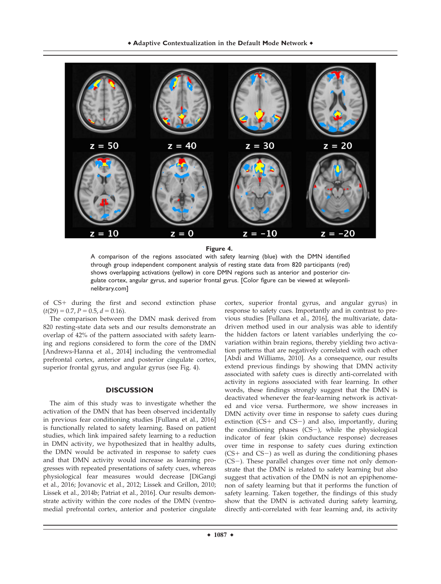

**Figure 4.**

A comparison of the regions associated with safety learning (blue) with the DMN identified through group independent component analysis of resting state data from 820 participants (red) shows overlapping activations (yellow) in core DMN regions such as anterior and posterior cingulate cortex, angular gyrus, and superior frontal gyrus. [Color figure can be viewed at [wileyonli](http://wileyonlinelibrary.com)[nelibrary.com](http://wileyonlinelibrary.com)]

of CS+ during the first and second extinction phase  $(t(29) = 0.7, P = 0.5, d = 0.16).$ 

The comparison between the DMN mask derived from 820 resting-state data sets and our results demonstrate an overlap of 42% of the pattern associated with safety learning and regions considered to form the core of the DMN [Andrews-Hanna et al., 2014] including the ventromedial prefrontal cortex, anterior and posterior cingulate cortex, superior frontal gyrus, and angular gyrus (see Fig. 4).

#### **DISCUSSION**

The aim of this study was to investigate whether the activation of the DMN that has been observed incidentally in previous fear conditioning studies [Fullana et al., 2016] is functionally related to safety learning. Based on patient studies, which link impaired safety learning to a reduction in DMN activity, we hypothesized that in healthy adults, the DMN would be activated in response to safety cues and that DMN activity would increase as learning progresses with repeated presentations of safety cues, whereas physiological fear measures would decrease [DiGangi et al., 2016; Jovanovic et al., 2012; Lissek and Grillon, 2010; Lissek et al., 2014b; Patriat et al., 2016]. Our results demonstrate activity within the core nodes of the DMN (ventromedial prefrontal cortex, anterior and posterior cingulate

cortex, superior frontal gyrus, and angular gyrus) in response to safety cues. Importantly and in contrast to previous studies [Fullana et al., 2016], the multivariate, datadriven method used in our analysis was able to identify the hidden factors or latent variables underlying the covariation within brain regions, thereby yielding two activation patterns that are negatively correlated with each other [Abdi and Williams, 2010]. As a consequence, our results extend previous findings by showing that DMN activity associated with safety cues is directly anti-correlated with activity in regions associated with fear learning. In other words, these findings strongly suggest that the DMN is deactivated whenever the fear-learning network is activated and vice versa. Furthermore, we show increases in DMN activity over time in response to safety cues during extinction ( $CS+$  and  $CS-$ ) and also, importantly, during the conditioning phases  $(CS-)$ , while the physiological indicator of fear (skin conductance response) decreases over time in response to safety cues during extinction  $(CS+$  and  $CS-$ ) as well as during the conditioning phases  $(CS-)$ . These parallel changes over time not only demonstrate that the DMN is related to safety learning but also suggest that activation of the DMN is not an epiphenomenon of safety learning but that it performs the function of safety learning. Taken together, the findings of this study show that the DMN is activated during safety learning, directly anti-correlated with fear learning and, its activity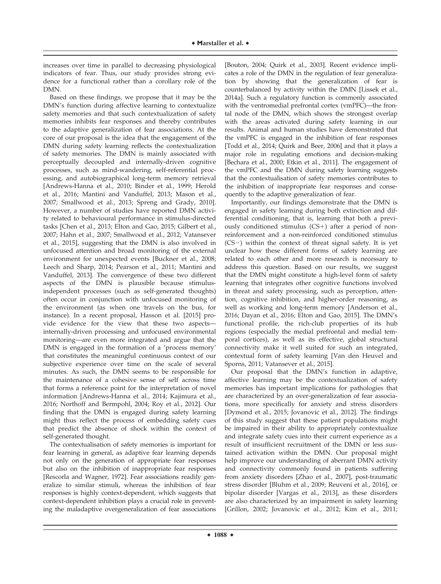increases over time in parallel to decreasing physiological indicators of fear. Thus, our study provides strong evidence for a functional rather than a corollary role of the DMN.

Based on these findings, we propose that it may be the DMN's function during affective learning to contextualize safety memories and that such contextualization of safety memories inhibits fear responses and thereby contributes to the adaptive generalization of fear associations. At the core of our proposal is the idea that the engagement of the DMN during safety learning reflects the contextualization of safety memories. The DMN is mainly associated with perceptually decoupled and internally-driven cognitive processes, such as mind-wandering, self-referential processing, and autobiographical long-term memory retrieval [Andrews-Hanna et al., 2010; Binder et al., 1999; Herold et al., 2016; Mantini and Vanduffel, 2013; Mason et al., 2007; Smallwood et al., 2013; Spreng and Grady, 2010]. However, a number of studies have reported DMN activity related to behavioural performance in stimulus-directed tasks [Chen et al., 2013; Elton and Gao, 2015; Gilbert et al., 2007; Hahn et al., 2007; Smallwood et al., 2012; Vatansever et al., 2015], suggesting that the DMN is also involved in unfocused attention and broad monitoring of the external environment for unexpected events [Buckner et al., 2008; Leech and Sharp, 2014; Pearson et al., 2011; Mantini and Vanduffel, 2013]. The convergence of these two different aspects of the DMN is plausible because stimulusindependent processes (such as self-generated thoughts) often occur in conjunction with unfocused monitoring of the environment (as when one travels on the bus, for instance). In a recent proposal, Hasson et al. [2015] provide evidence for the view that these two aspects internally-driven processing and unfocused environmental monitoring—are even more integrated and argue that the DMN is engaged in the formation of a 'process memory' that constitutes the meaningful continuous context of our subjective experience over time on the scale of several minutes. As such, the DMN seems to be responsible for the maintenance of a cohesive sense of self across time that forms a reference point for the interpretation of novel information [Andrews-Hanna et al., 2014; Kajimura et al., 2016; Northoff and Bermpohl, 2004; Roy et al., 2012]. Our finding that the DMN is engaged during safety learning might thus reflect the process of embedding safety cues that predict the absence of shock within the context of self-generated thought.

The contextualisation of safety memories is important for fear learning in general, as adaptive fear learning depends not only on the generation of appropriate fear responses but also on the inhibition of inappropriate fear responses [Rescorla and Wagner, 1972]. Fear associations readily generalize to similar stimuli, whereas the inhibition of fear responses is highly context-dependent, which suggests that context-dependent inhibition plays a crucial role in preventing the maladaptive overgeneralization of fear associations

[Bouton, 2004; Quirk et al., 2003]. Recent evidence implicates a role of the DMN in the regulation of fear generalization by showing that the generalization of fear is counterbalanced by activity within the DMN [Lissek et al., 2014a]. Such a regulatory function is commonly associated with the ventromedial prefrontal cortex (vmPFC)—the frontal node of the DMN, which shows the strongest overlap with the areas activated during safety learning in our results. Animal and human studies have demonstrated that the vmPFC is engaged in the inhibition of fear responses [Todd et al., 2014; Quirk and Beer, 2006] and that it plays a major role in regulating emotions and decision-making [Bechara et al., 2000; Etkin et al., 2011]. The engagement of the vmPFC and the DMN during safety learning suggests that the contextualisation of safety memories contributes to the inhibition of inappropriate fear responses and consequently to the adaptive generalization of fear.

Importantly, our findings demonstrate that the DMN is engaged in safety learning during both extinction and differential conditioning, that is, learning that both a previously conditioned stimulus  $(CS+)$  after a period of nonreinforcement and a non-reinforced conditioned stimulus  $(CS-)$  within the context of threat signal safety. It is yet unclear how these different forms of safety learning are related to each other and more research is necessary to address this question. Based on our results, we suggest that the DMN might constitute a high-level form of safety learning that integrates other cognitive functions involved in threat and safety processing, such as perception, attention, cognitive inhibition, and higher-order reasoning, as well as working and long-term memory [Anderson et al., 2016; Dayan et al., 2016; Elton and Gao, 2015]. The DMN's functional profile, the rich-club properties of its hub regions (especially the medial prefrontal and medial temporal cortices), as well as its effective, global structural connectivity make it well suited for such an integrated, contextual form of safety learning [Van den Heuvel and Sporns, 2011; Vatansever et al., 2015].

Our proposal that the DMN's function in adaptive, affective learning may be the contextualization of safety memories has important implications for pathologies that are characterized by an over-generalization of fear associations, more specifically for anxiety and stress disorders [Dymond et al., 2015; Jovanovic et al., 2012]. The findings of this study suggest that these patient populations might be impaired in their ability to appropriately contextualize and integrate safety cues into their current experience as a result of insufficient recruitment of the DMN or less sustained activation within the DMN. Our proposal might help improve our understanding of aberrant DMN activity and connectivity commonly found in patients suffering from anxiety disorders [Zhao et al., 2007], post-traumatic stress disorder [Bluhm et al., 2009; Reuveni et al., 2016], or bipolar disorder [Vargas et al., 2013], as these disorders are also characterized by an impairment in safety learning [Grillon, 2002; Jovanovic et al., 2012; Kim et al., 2011;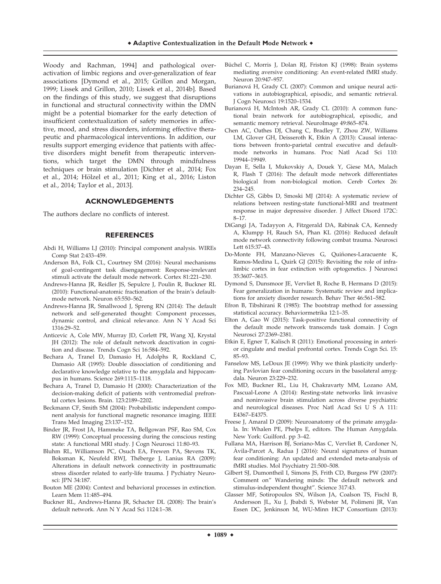Woody and Rachman, 1994] and pathological overactivation of limbic regions and over-generalization of fear associations [Dymond et al., 2015; Grillon and Morgan, 1999; Lissek and Grillon, 2010; Lissek et al., 2014b]. Based on the findings of this study, we suggest that disruptions in functional and structural connectivity within the DMN might be a potential biomarker for the early detection of insufficient contextualization of safety memories in affective, mood, and stress disorders, informing effective therapeutic and pharmacological interventions. In addition, our results support emerging evidence that patients with affective disorders might benefit from therapeutic interventions, which target the DMN through mindfulness techniques or brain stimulation [Dichter et al., 2014; Fox et al., 2014; Hölzel et al., 2011; King et al., 2016; Liston et al., 2014; Taylor et al., 2013].

#### **ACKNOWLEDGEMENTS**

The authors declare no conflicts of interest.

#### **REFERENCES**

- Abdi H, Williams LJ (2010): Principal component analysis. WIREs Comp Stat 2:433–459.
- Anderson BA, Folk CL, Courtney SM (2016): Neural mechanisms of goal-contingent task disengagement: Response-irrelevant stimuli activate the default mode network. Cortex 81:221–230.
- Andrews-Hanna JR, Reidler JS, Sepulcre J, Poulin R, Buckner RL (2010): Functional-anatomic fractionation of the brain's defaultmode network. Neuron 65:550–562.
- Andrews-Hanna JR, Smallwood J, Spreng RN (2014): The default network and self-generated thought: Component processes, dynamic control, and clinical relevance. Ann N Y Acad Sci 1316:29–52.
- Anticevic A, Cole MW, Murray JD, Corlett PR, Wang XJ, Krystal JH (2012): The role of default network deactivation in cognition and disease. Trends Cogn Sci 16:584–592.
- Bechara A, Tranel D, Damasio H, Adolphs R, Rockland C, Damasio AR (1995): Double dissociation of conditioning and declarative knowledge relative to the amygdala and hippocampus in humans. Science 269:1115–1118.
- Bechara A, Tranel D, Damasio H (2000): Characterization of the decision-making deficit of patients with ventromedial prefrontal cortex lesions. Brain. 123:2189–2202.
- Beckmann CF, Smith SM (2004): Probabilistic independent component analysis for functional magnetic resonance imaging. IEEE Trans Med Imaging 23:137–152.
- Binder JR, Frost JA, Hammeke TA, Bellgowan PSF, Rao SM, Cox RW (1999): Conceptual processing during the conscious resting state: A functional MRI study. J Cogn Neurosci 11:80–93.
- Bluhm RL, Williamson PC, Osuch EA, Frewen PA, Stevens TK, Boksman K, Neufeld RWJ, Théberge J, Lanius RA (2009): Alterations in default network connectivity in posttraumatic stress disorder related to early-life trauma. J Pychiatry Neurosci: JPN 34:187.
- Bouton ME (2004): Context and behavioral processes in extinction. Learn Mem 11:485–494.
- Buckner RL, Andrews-Hanna JR, Schacter DL (2008): The brain's default network. Ann N Y Acad Sci 1124:1–38.
- Büchel C, Morris J, Dolan RJ, Friston KJ (1998): Brain systems mediating aversive conditioning: An event-related fMRI study. Neuron 20:947–957.
- Burianová H, Grady CL (2007): Common and unique neural activations in autobiographical, episodic, and semantic retrieval. J Cogn Neurosci 19:1520–1534.
- Burianová H, McIntosh AR, Grady CL (2010): A common functional brain network for autobiographical, episodic, and semantic memory retrieval. NeuroImage 49:865–874.
- Chen AC, Oathes DJ, Chang C, Bradley T, Zhou ZW, Williams LM, Glover GH, Deisseroth K, Etkin A (2013): Causal interactions between fronto-parietal central executive and defaultmode networks in humans. Proc Natl Acad Sci 110: 19944–19949.
- Dayan E, Sella I, Mukovskiy A, Douek Y, Giese MA, Malach R, Flash T (2016): The default mode network differentiates biological from non-biological motion. Cereb Cortex 26: 234–245.
- Dichter GS, Gibbs D, Smoski MJ (2014): A systematic review of relations between resting-state functional-MRI and treatment response in major depressive disorder. J Affect Disord 172C: 8–17.
- DiGangi JA, Tadayyon A, Fitzgerald DA, Rabinak CA, Kennedy A, Klumpp H, Rauch SA, Phan KL (2016): Reduced default mode network connectivity following combat trauma. Neurosci Lett 615:37–43.
- Do-Monte FH, Manzano-Nieves G, Quiñones-Laracuente K, Ramos-Medina L, Quirk GJ (2015): Revisiting the role of infralimbic cortex in fear extinction with optogenetics. J Neurosci 35:3607–3615.
- Dymond S, Dunsmoor JE, Vervliet B, Roche B, Hermans D (2015): Fear generalization in humans: Systematic review and implications for anxiety disorder research. Behav Ther 46:561–582.
- Efron B, Tibshirani R (1985): The bootstrap method for assessing statistical accuracy. Behaviormetrika 12:1–35.
- Elton A, Gao W (2015): Task-positive functional connectivity of the default mode network transcends task domain. J Cogn Neurosci 27:2369–2381.
- Etkin E, Egner T, Kalisch R (2011): Emotional processing in anterior cingulate and medial prefrontal cortex. Trends Cogn Sci. 15: 85–93.
- Fanselow MS, LeDoux JE (1999): Why we think plasticity underlying Pavlovian fear conditioning occurs in the basolateral amygdala. Neuron 23:229–232.
- Fox MD, Buckner RL, Liu H, Chakravarty MM, Lozano AM, Pascual-Leone A (2014): Resting-state networks link invasive and noninvasive brain stimulation across diverse psychiatric and neurological diseases. Proc Natl Acad Sci U S A 111: E4367–E4375.
- Freese J, Amaral D (2009): Neuroanatomy of the primate amygdala. In: Whalen PE, Phelps E, editors. The Human Amygdala. New York: Guilford. pp 3–42.
- Fullana MA, Harrison BJ, Soriano-Mas C, Vervliet B, Cardoner N, Avila-Parcet A, Radua J (2016): Neural signatures of human fear conditioning: An updated and extended meta-analysis of fMRI studies. Mol Psychiatry 21:500–508.
- Gilbert SJ, Dumontheil I, Simons JS, Frith CD, Burgess PW (2007): Comment on" Wandering minds: The default network and stimulus-independent thought". Science 317:43.
- Glasser MF, Sotiropoulos SN, Wilson JA, Coalson TS, Fischl B, Andersson JL, Xu J, Jbabdi S, Webster M, Polimeni JR, Van Essen DC, Jenkinson M, WU-Minn HCP Consortium (2013):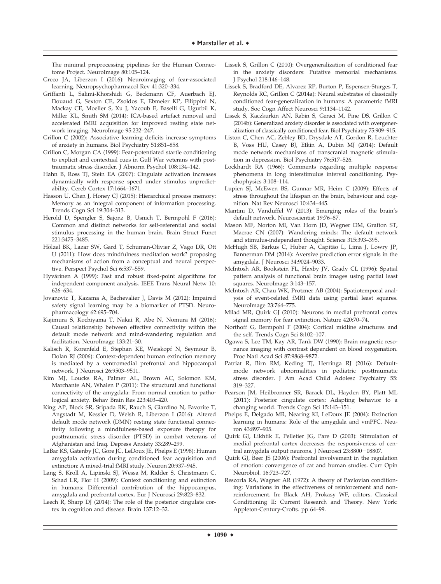The minimal preprocessing pipelines for the Human Connectome Project. NeuroImage 80:105–124.

- Greco JA, Liberzon I (2016): Neuroimaging of fear-associated learning. Neuropsychopharmacol Rev 41:320–334.
- Griffanti L, Salimi-Khorshidi G, Beckmann CF, Auerbach EJ, Douaud G, Sexton CE, Zsoldos E, Ebmeier KP, Filippini N, Mackay CE, Moeller S, Xu J, Yacoub E, Baselli G, Ugurbil K, Miller KL, Smith SM (2014): ICA-based artefact removal and accelerated fMRI acquisition for improved resting state network imaging. NeuroImage 95:232–247.
- Grillon C (2002): Associative learning deficits increase symptoms of anxiety in humans. Biol Psychiatry 51:851–858.
- Grillon C, Morgan CA (1999): Fear-potentiated startle conditioning to explicit and contextual cues in Gulf War veterans with posttraumatic stress disorder. J Abnorm Psychol 108:134–142.
- Hahn B, Ross TJ, Stein EA (2007): Cingulate activation increases dynamically with response speed under stimulus unpredictability. Cereb Cortex 17:1664–1671.
- Hasson U, Chen J, Honey CJ (2015): Hierarchical process memory: Memory as an integral component of information processing. Trends Cogn Sci 19:304–313.
- Herold D, Spengler S, Sajonz B, Usnich T, Bermpohl F (2016): Common and distinct networks for self-referential and social stimulus processing in the human brain. Brain Struct Funct 221:3475–3485.
- Hölzel BK, Lazar SW, Gard T, Schuman-Olivier Z, Vago DR, Ott U (2011): How does mindfulness meditation work? proposing mechanisms of action from a conceptual and neural perspective. Perspect Psychol Sci 6:537–559.
- Hyvärinen A (1999): Fast and robust fixed-point algorithms for independent component analysis. IEEE Trans Neural Netw 10: 626–634.
- Jovanovic T, Kazama A, Bachevalier J, Davis M (2012): Impaired safety signal learning may be a biomarker of PTSD. Neuropharmacology 62:695–704.
- Kajimura S, Kochiyama T, Nakai R, Abe N, Nomura M (2016): Causal relationship between effective connectivity within the default mode network and mind-wandering regulation and facilitation. NeuroImage 133:21–30.
- Kalisch R, Korenfeld E, Stephan KE, Weiskopf N, Seymour B, Dolan RJ (2006): Context-dependent human extinction memory is mediated by a ventromedial prefrontal and hippocampal network. J Neurosci 26:9503–9511.
- Kim MJ, Loucks RA, Palmer AL, Brown AC, Solomon KM, Marchante AN, Whalen P (2011): The structural and functional connectivity of the amygdala: From normal emotion to pathological anxiety. Behav Brain Res 223:403–420.
- King AP, Block SR, Sripada RK, Rauch S, Giardino N, Favorite T, Angstadt M, Kessler D, Welsh R, Liberzon I (2016): Altered default mode network (DMN) resting state functional connectivity following a mindfulness-based exposure therapy for posttraumatic stress disorder (PTSD) in combat veterans of Afghanistan and Iraq. Depress Anxiety 33:289–299.
- LaBar KS, Gatenby JC, Gore JC, LeDoux JE, Phelps E (1998): Human amygdala activation during conditioned fear acquisition and extinction: A mixed-trial fMRI study. Neuron 20:937–945.
- Lang S, Kroll A, Lipinski SJ, Wessa M, Ridder S, Christmann C, Schad LR, Flor H (2009): Context conditioning and extinction in humans: Differential contribution of the hippocampus, amygdala and prefrontal cortex. Eur J Neurosci 29:823–832.
- Leech R, Sharp DJ (2014): The role of the posterior cingulate cortex in cognition and disease. Brain 137:12–32.
- Lissek S, Grillon C (2010): Overgeneralization of conditioned fear in the anxiety disorders: Putative memorial mechanisms. J Psychol 218:146–148.
- Lissek S, Bradford DE, Alvarez RP, Burton P, Espensen-Sturges T, Reynolds RC, Grillon C (2014a): Neural substrates of classically conditioned fear-generalization in humans: A parametric fMRI study. Soc Cogn Affect Neurosci 9:1134–1142.
- Lissek S, Kaczkurkin AN, Rabin S, Geraci M, Pine DS, Grillon C (2014b): Generalized anxiety disorder is associated with overgeneralization of classically conditioned fear. Biol Psychiatry 75:909–915.
- Liston C, Chen AC, Zebley BD, Drysdale AT, Gordon R, Leuchter B, Voss HU, Casey BJ, Etkin A, Dubin MJ (2014): Default mode network mechanisms of transcranial magnetic stimulation in depression. Biol Psychiatry 76:517–526.
- Lockhardt RA (1966): Comments regarding multiple response phenomena in long interstimulus interval conditioning. Psychophysics 3:108–114.
- Lupien SJ, McEwen BS, Gunnar MR, Heim C (2009): Effects of stress throughout the lifespan on the brain, behaviour and cognition. Nat Rev Neurosci 10:434–445.
- Mantini D, Vanduffel W (2013): Emerging roles of the brain's default network. Neuroscientist 19:76–87.
- Mason MF, Norton MI, Van Horn JD, Wegner DM, Grafton ST, Macrae CN (2007): Wandering minds: The default network and stimulus-independent thought. Science 315:393–395.
- McHugh SB, Barkus C, Huber A, Capitão L, Lima J, Lowry JP, Bannerman DM (2014): Aversive prediction error signals in the amygdala. J Neurosci 34:9024–9033.
- McIntosh AR, Bookstein FL, Haxby JV, Grady CL (1996): Spatial pattern analysis of functional brain images using partial least squares. NeuroImage 3:143–157.
- McIntosh AR, Chau WK, Protzner AB (2004): Spatiotemporal analysis of event-related fMRI data using partial least squares. NeuroImage 23:764–775.
- Milad MR, Quirk GJ (2010): Neurons in medial prefrontal cortex signal memory for fear extinction. Nature 420:70–74.
- Northoff G, Bermpohl F (2004): Cortical midline structures and the self. Trends Cogn Sci 8:102–107.
- Ogawa S, Lee TM, Kay AR, Tank DW (1990): Brain magnetic resonance imaging with contrast dependent on blood oxygenation. Proc Natl Acad Sci 87:9868–9872.
- Patriat R, Birn RM, Keding TJ, Herringa RJ (2016): Defaultmode network abnormalities in pediatric posttraumatic stress disorder. J Am Acad Child Adolesc Psychiatry 55: 319–327.
- Pearson JM, Heilbronner SR, Barack DL, Hayden BY, Platt ML (2011): Posterior cingulate cortex: Adapting behavior to a changing world. Trends Cogn Sci 15:143–151.
- Phelps E, Delgado MR, Nearing KI, LeDoux JE (2004): Extinction learning in humans: Role of the amygdala and vmPFC. Neuron 43:897–905.
- Quirk GJ, Likhtik E, Pelletier JG, Pare D (2003): Stimulation of medial prefrontal cortex decreases the responsiveness of central amygdala output neurons. J Neurosci 23:8800-08807.
- Quirk GJ, Beer JS (2006): Prefrontal involvement in the regulation of emotion: convergence of cat and human studies. Curr Opin Neurobiol. 16:723–727.
- Rescorla RA, Wagner AR (1972): A theory of Pavlovian conditioning: Variations in the effectiveness of reinforcement and nonreinforcement. In: Black AH, Prokasy WF, editors. Classical Conditioning II: Current Research and Theory. New York: Appleton-Century-Crofts. pp 64–99.